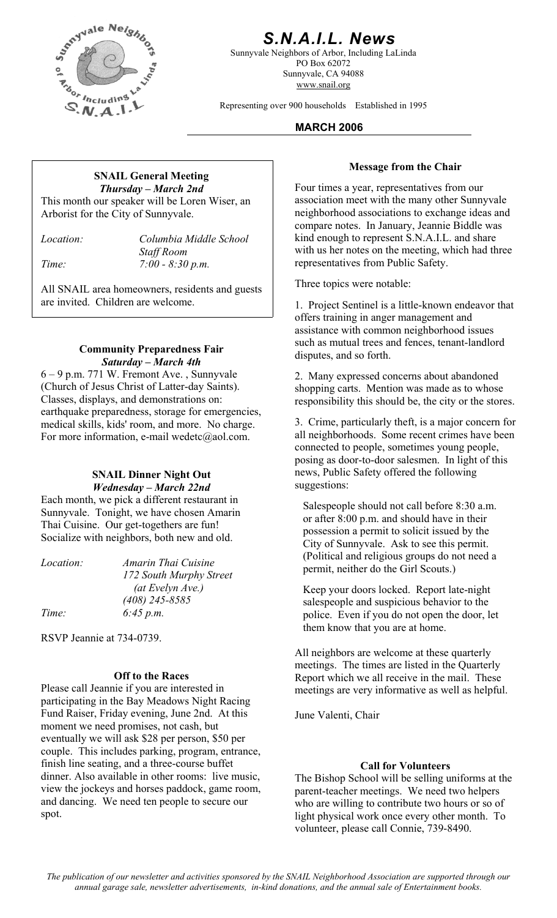

# *S.N.A.I.L. News*

Sunnyvale Neighbors of Arbor, Including LaLinda PO Box 62072 Sunnyvale, CA 94088 www.snail.org

Representing over 900 households Established in 1995

#### **MARCH 2006**

# **Message from the Chair SNAIL General Meeting**  *Thursday – March 2nd*

This month our speaker will be Loren Wiser, an Arborist for the City of Sunnyvale.

*Location: Columbia Middle School Staff Room Time: 7:00 - 8:30 p.m.* 

All SNAIL area homeowners, residents and guests Three topics were notable: are invited. Children are welcome. 1. Project Sentinel is a little-known endeavor that

#### **Community Preparedness Fair** disputes, and so forth. *Saturday – March 4th*

6 – 9 p.m. 771 W. Fremont Ave. , Sunnyvale (Church of Jesus Christ of Latter-day Saints). Classes, displays, and demonstrations on: earthquake preparedness, storage for emergencies, medical skills, kids' room, and more. No charge. For more information, e-mail wedetc@aol.com.

#### **SNAIL Dinner Night Out**  *Wednesday – March 22nd*

Each month, we pick a different restaurant in Sunnyvale. Tonight, we have chosen Amarin Thai Cuisine. Our get-togethers are fun! Socialize with neighbors, both new and old.

| <i>Location:</i> | Amarin Thai Cuisine     |
|------------------|-------------------------|
|                  | 172 South Murphy Street |
|                  | (at Evelyn Ave.)        |
|                  | $(408)$ 245-8585        |
| Time:            | 6:45 p.m.               |

RSVP Jeannie at 734-0739.

### **Off to the Races**

Please call Jeannie if you are interested in participating in the Bay Meadows Night Racing Fund Raiser, Friday evening, June 2nd. At this moment we need promises, not cash, but eventually we will ask \$28 per person, \$50 per couple. This includes parking, program, entrance, finish line seating, and a three-course buffet dinner. Also available in other rooms: live music, view the jockeys and horses paddock, game room, and dancing. We need ten people to secure our spot.

Four times a year, representatives from our association meet with the many other Sunnyvale neighborhood associations to exchange ideas and compare notes. In January, Jeannie Biddle was kind enough to represent S.N.A.I.L. and share with us her notes on the meeting, which had three representatives from Public Safety.

offers training in anger management and assistance with common neighborhood issues such as mutual trees and fences, tenant-landlord

2. Many expressed concerns about abandoned shopping carts. Mention was made as to whose responsibility this should be, the city or the stores.

3. Crime, particularly theft, is a major concern for all neighborhoods. Some recent crimes have been connected to people, sometimes young people, posing as door-to-door salesmen. In light of this news, Public Safety offered the following suggestions:

Salespeople should not call before 8:30 a.m. or after 8:00 p.m. and should have in their possession a permit to solicit issued by the City of Sunnyvale. Ask to see this permit. (Political and religious groups do not need a permit, neither do the Girl Scouts.)

Keep your doors locked. Report late-night salespeople and suspicious behavior to the police. Even if you do not open the door, let them know that you are at home.

All neighbors are welcome at these quarterly meetings. The times are listed in the Quarterly Report which we all receive in the mail. These meetings are very informative as well as helpful.

June Valenti, Chair

#### **Call for Volunteers**

The Bishop School will be selling uniforms at the parent-teacher meetings. We need two helpers who are willing to contribute two hours or so of light physical work once every other month. To volunteer, please call Connie, 739-8490.

*The publication of our newsletter and activities sponsored by the SNAIL Neighborhood Association are supported through our annual garage sale, newsletter advertisements, in-kind donations, and the annual sale of Entertainment books.*